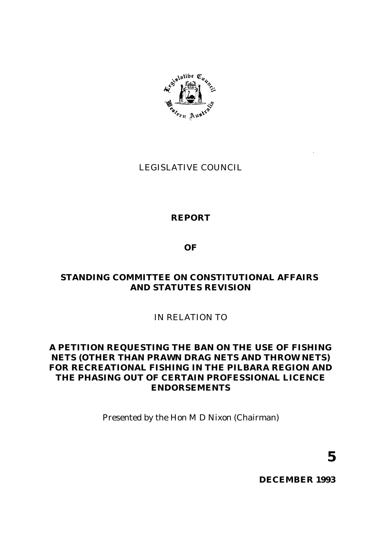

# LEGISLATIVE COUNCIL

# **REPORT**

# **OF**

# **STANDING COMMITTEE ON CONSTITUTIONAL AFFAIRS AND STATUTES REVISION**

# IN RELATION TO

# **A PETITION REQUESTING THE BAN ON THE USE OF FISHING NETS (OTHER THAN PRAWN DRAG NETS AND THROW NETS) FOR RECREATIONAL FISHING IN THE PILBARA REGION AND THE PHASING OUT OF CERTAIN PROFESSIONAL LICENCE ENDORSEMENTS**

Presented by the Hon M D Nixon (Chairman)

**5**

**DECEMBER 1993**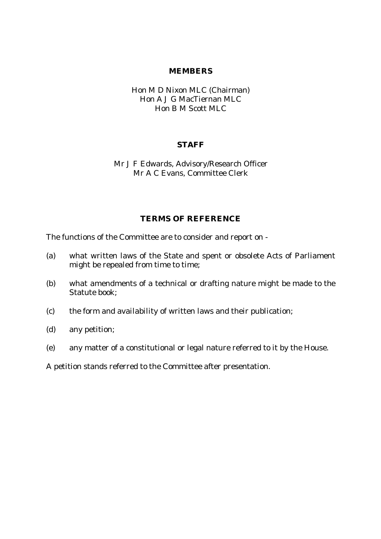#### **MEMBERS**

### Hon M D Nixon MLC (Chairman) Hon A J G MacTiernan MLC Hon B M Scott MLC

#### **STAFF**

Mr J F Edwards, Advisory/Research Officer Mr A C Evans, Committee Clerk

### **TERMS OF REFERENCE**

The functions of the Committee are to consider and report on -

- (a) what written laws of the State and spent or obsolete Acts of Parliament might be repealed from time to time;
- (b) what amendments of a technical or drafting nature might be made to the Statute book;
- (c) the form and availability of written laws and their publication;
- (d) any petition;
- (e) any matter of a constitutional or legal nature referred to it by the House.

A petition stands referred to the Committee after presentation.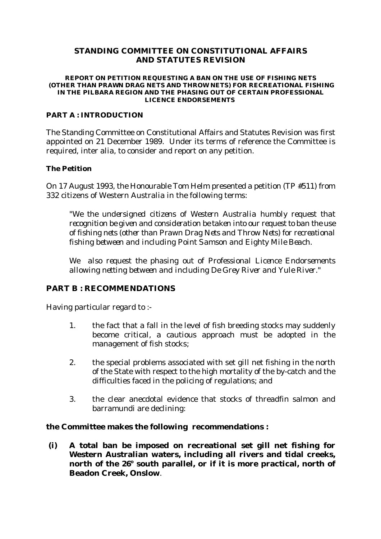### **STANDING COMMITTEE ON CONSTITUTIONAL AFFAIRS AND STATUTES REVISION**

#### **REPORT ON PETITION REQUESTING A BAN ON THE USE OF FISHING NETS (OTHER THAN PRAWN DRAG NETS AND THROW NETS) FOR RECREATIONAL FISHING IN THE PILBARA REGION AND THE PHASING OUT OF CERTAIN PROFESSIONAL LICENCE ENDORSEMENTS**

#### **PART A : INTRODUCTION**

The Standing Committee on Constitutional Affairs and Statutes Revision was first appointed on 21 December 1989. Under its terms of reference the Committee is required, inter alia, to consider and report on any petition.

#### **The Petition**

On 17 August 1993, the Honourable Tom Helm presented a petition (TP #511) from 332 citizens of Western Australia in the following terms:

*"We the undersigned citizens of Western Australia humbly request that recognition be given and consideration be taken into our request to ban the use of fishing nets (other than Prawn Drag Nets and Throw Nets) for recreational fishing between and including Point Samson and Eighty Mile Beach.*

*We also request the phasing out of Professional Licence Endorsements allowing netting between and including De Grey River and Yule River."*

### **PART B : RECOMMENDATIONS**

Having particular regard to :-

- 1. the fact that a fall in the level of fish breeding stocks may suddenly become critical, a cautious approach must be adopted in the management of fish stocks;
- 2. the special problems associated with set gill net fishing in the north of the State with respect to the high mortality of the by-catch and the difficulties faced in the policing of regulations; and
- 3. the clear anecdotal evidence that stocks of threadfin salmon and barramundi are declining:

### **the Committee makes the following recommendations :**

 **(i) A total ban be imposed on recreational set gill net fishing for Western Australian waters, including all rivers and tidal creeks,** north of the 26° south parallel, or if it is more practical, north of **Beadon Creek, Onslow**.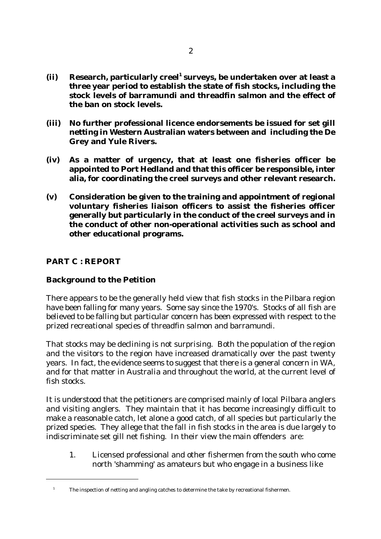- **(ii) Research, particularly creel<sup>1</sup> surveys, be undertaken over at least a three year period to establish the state of fish stocks, including the stock levels of barramundi and threadfin salmon and the effect of the ban on stock levels.**
- **(iii) No further professional licence endorsements be issued for set gill netting in Western Australian waters between and including the De Grey and Yule Rivers.**
- **(iv) As a matter of urgency, that at least one fisheries officer be appointed to Port Hedland and that this officer be responsible, inter alia, for coordinating the creel surveys and other relevant research.**
- **(v) Consideration be given to the training and appointment of regional voluntary fisheries liaison officers to assist the fisheries officer generally but particularly in the conduct of the creel surveys and in the conduct of other non-operational activities such as school and other educational programs.**

### **PART C : REPORT**

# **Background to the Petition**

There appears to be the generally held view that fish stocks in the Pilbara region have been falling for many years. Some say since the 1970's. Stocks of all fish are believed to be falling but particular concern has been expressed with respect to the prized recreational species of threadfin salmon and barramundi.

That stocks may be declining is not surprising. Both the population of the region and the visitors to the region have increased dramatically over the past twenty years. In fact, the evidence seems to suggest that there is a general concern in WA, and for that matter in Australia and throughout the world, at the current level of fish stocks.

It is understood that the petitioners are comprised mainly of local Pilbara anglers and visiting anglers. They maintain that it has become increasingly difficult to make a reasonable catch, let alone a good catch, of all species but particularly the prized species. They allege that the fall in fish stocks in the area is due largely to indiscriminate set gill net fishing. In their view the main offenders are:

1. Licensed professional and other fishermen from the south who come north 'shamming' as amateurs but who engage in a business like

<sup>&</sup>lt;sup>1</sup> The inspection of netting and angling catches to determine the take by recreational fishermen.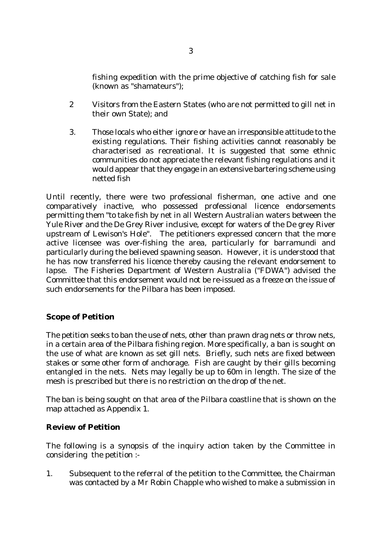fishing expedition with the prime objective of catching fish for sale (known as "shamateurs");

- 2 Visitors from the Eastern States (who are not permitted to gill net in their own State); and
- 3. Those locals who either ignore or have an irresponsible attitude to the existing regulations. Their fishing activities cannot reasonably be characterised as recreational. It is suggested that some ethnic communities do not appreciate the relevant fishing regulations and it would appear that they engage in an extensive bartering scheme using netted fish

Until recently, there were two professional fisherman, one active and one comparatively inactive, who possessed professional licence endorsements permitting them "to take fish by net in all Western Australian waters between the Yule River and the De Grey River inclusive, except for waters of the De grey River upstream of Lewison's Hole". The petitioners expressed concern that the more active licensee was over-fishing the area, particularly for barramundi and particularly during the believed spawning season. However, it is understood that he has now transferred his licence thereby causing the relevant endorsement to lapse. The Fisheries Department of Western Australia ("FDWA") advised the Committee that this endorsement would not be re-issued as a freeze on the issue of such endorsements for the Pilbara has been imposed.

# **Scope of Petition**

The petition seeks to ban the use of nets, other than prawn drag nets or throw nets, in a certain area of the Pilbara fishing region. More specifically, a ban is sought on the use of what are known as set gill nets. Briefly, such nets are fixed between stakes or some other form of anchorage. Fish are caught by their gills becoming entangled in the nets. Nets may legally be up to 60m in length. The size of the mesh is prescribed but there is no restriction on the drop of the net.

The ban is being sought on that area of the Pilbara coastline that is shown on the map attached as Appendix 1.

### **Review of Petition**

The following is a synopsis of the inquiry action taken by the Committee in considering the petition :-

1. Subsequent to the referral of the petition to the Committee, the Chairman was contacted by a Mr Robin Chapple who wished to make a submission in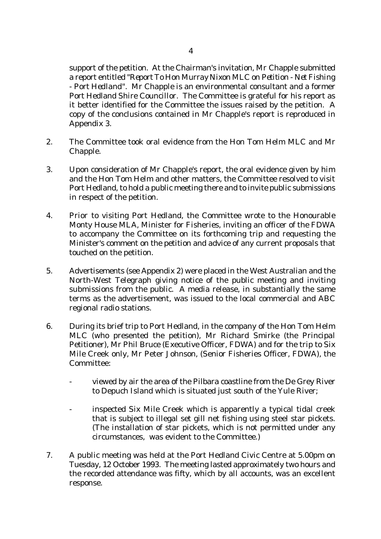support of the petition. At the Chairman's invitation, Mr Chapple submitted a report entitled "*Report To Hon Murray Nixon MLC on Petition - Net Fishing - Port Hedland*". Mr Chapple is an environmental consultant and a former Port Hedland Shire Councillor. The Committee is grateful for his report as it better identified for the Committee the issues raised by the petition. A copy of the conclusions contained in Mr Chapple's report is reproduced in Appendix 3.

- 2. The Committee took oral evidence from the Hon Tom Helm MLC and Mr Chapple.
- 3. Upon consideration of Mr Chapple's report, the oral evidence given by him and the Hon Tom Helm and other matters, the Committee resolved to visit Port Hedland, to hold a public meeting there and to invite public submissions in respect of the petition.
- 4. Prior to visiting Port Hedland, the Committee wrote to the Honourable Monty House MLA, Minister for Fisheries, inviting an officer of the FDWA to accompany the Committee on its forthcoming trip and requesting the Minister's comment on the petition and advice of any current proposals that touched on the petition.
- 5. Advertisements (see Appendix 2) were placed in the West Australian and the North-West Telegraph giving notice of the public meeting and inviting submissions from the public. A media release, in substantially the same terms as the advertisement, was issued to the local commercial and ABC regional radio stations.
- 6. During its brief trip to Port Hedland, in the company of the Hon Tom Helm MLC (who presented the petition), Mr Richard Smirke (the Principal Petitioner), Mr Phil Bruce (Executive Officer, FDWA) and for the trip to Six Mile Creek only, Mr Peter Johnson, (Senior Fisheries Officer, FDWA), the Committee:
	- viewed by air the area of the Pilbara coastline from the De Grey River to Depuch Island which is situated just south of the Yule River;
	- inspected Six Mile Creek which is apparently a typical tidal creek that is subject to illegal set gill net fishing using steel star pickets. (The installation of star pickets, which is not permitted under any circumstances, was evident to the Committee.)
- 7. A public meeting was held at the Port Hedland Civic Centre at 5.00pm on Tuesday, 12 October 1993. The meeting lasted approximately two hours and the recorded attendance was fifty, which by all accounts, was an excellent response.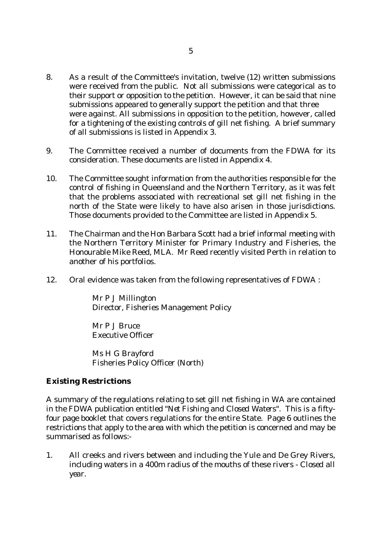- 8. As a result of the Committee's invitation, twelve (12) written submissions were received from the public. Not all submissions were categorical as to their support or opposition to the petition. However, it can be said that nine submissions appeared to generally support the petition and that three were against. All submissions in opposition to the petition, however, called for a tightening of the existing controls of gill net fishing. A brief summary of all submissions is listed in Appendix 3.
- 9. The Committee received a number of documents from the FDWA for its consideration. These documents are listed in Appendix 4.
- 10. The Committee sought information from the authorities responsible for the control of fishing in Queensland and the Northern Territory, as it was felt that the problems associated with recreational set gill net fishing in the north of the State were likely to have also arisen in those jurisdictions. Those documents provided to the Committee are listed in Appendix 5.
- 11. The Chairman and the Hon Barbara Scott had a brief informal meeting with the Northern Territory Minister for Primary Industry and Fisheries, the Honourable Mike Reed, MLA. Mr Reed recently visited Perth in relation to another of his portfolios.
- 12. Oral evidence was taken from the following representatives of FDWA :

Mr P J Millington Director, Fisheries Management Policy

Mr P J Bruce Executive Officer

Ms H G Brayford Fisheries Policy Officer (North)

### **Existing Restrictions**

A summary of the regulations relating to set gill net fishing in WA are contained in the FDWA publication entitled "*Net Fishing and Closed Waters*". This is a fiftyfour page booklet that covers regulations for the entire State. Page 6 outlines the restrictions that apply to the area with which the petition is concerned and may be summarised as follows:-

1. All creeks and rivers between and including the Yule and De Grey Rivers, including waters in a 400m radius of the mouths of these rivers - *Closed all year.*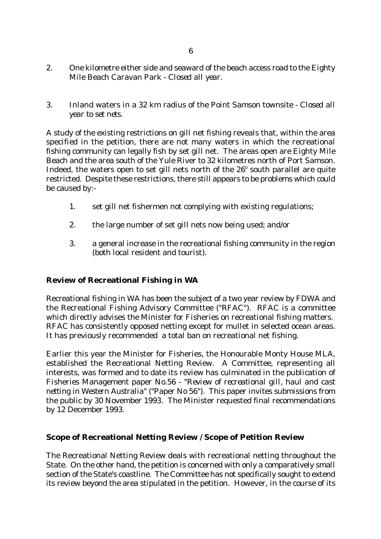- 2. One kilometre either side and seaward of the beach access road to the Eighty Mile Beach Caravan Park - *Closed all year.*
- 3. Inland waters in a 32 km radius of the Point Samson townsite *Closed all year to set nets.*

A study of the existing restrictions on gill net fishing reveals that, within the area specified in the petition, there are not many waters in which the recreational fishing community can legally fish by set gill net. The areas open are Eighty Mile Beach and the area south of the Yule River to 32 kilometres north of Port Samson. Indeed, the waters open to set gill nets north of the  $26^{\circ}$  south parallel are quite restricted. Despite these restrictions, there still appears to be problems which could be caused by:-

- 1. set gill net fishermen not complying with existing regulations;
- 2. the large number of set gill nets now being used; and/or
- 3. a general increase in the recreational fishing community in the region (both local resident and tourist).

### **Review of Recreational Fishing in WA**

Recreational fishing in WA has been the subject of a two year review by FDWA and the Recreational Fishing Advisory Committee ("RFAC"). RFAC is a committee which directly advises the Minister for Fisheries on recreational fishing matters. RFAC has consistently opposed netting except for mullet in selected ocean areas. It has previously recommended a total ban on recreational net fishing.

Earlier this year the Minister for Fisheries, the Honourable Monty House MLA, established the Recreational Netting Review. A Committee, representing all interests, was formed and to date its review has culminated in the publication of Fisheries Management paper No.56 - "*Review of recreational gill, haul and cast netting in Western Australia*" ("Paper No 56"). This paper invites submissions from the public by 30 November 1993. The Minister requested final recommendations by 12 December 1993.

### **Scope of Recreational Netting Review / Scope of Petition Review**

The Recreational Netting Review deals with recreational netting throughout the State. On the other hand, the petition is concerned with only a comparatively small section of the State's coastline. The Committee has not specifically sought to extend its review beyond the area stipulated in the petition. However, in the course of its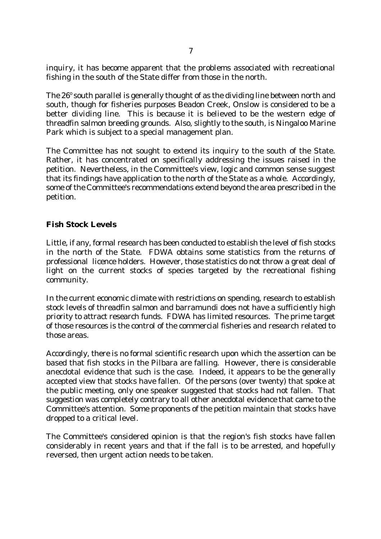inquiry, it has become apparent that the problems associated with recreational fishing in the south of the State differ from those in the north.

The 26° south parallel is generally thought of as the dividing line between north and south, though for fisheries purposes Beadon Creek, Onslow is considered to be a better dividing line. This is because it is believed to be the western edge of threadfin salmon breeding grounds. Also, slightly to the south, is Ningaloo Marine Park which is subject to a special management plan.

The Committee has not sought to extend its inquiry to the south of the State. Rather, it has concentrated on specifically addressing the issues raised in the petition. Nevertheless, in the Committee's view, logic and common sense suggest that its findings have application to the north of the State as a whole. Accordingly, some of the Committee's recommendations extend beyond the area prescribed in the petition.

### **Fish Stock Levels**

Little, if any, formal research has been conducted to establish the level of fish stocks in the north of the State. FDWA obtains some statistics from the returns of professional licence holders. However, those statistics do not throw a great deal of light on the current stocks of species targeted by the recreational fishing community.

In the current economic climate with restrictions on spending, research to establish stock levels of threadfin salmon and barramundi does not have a sufficiently high priority to attract research funds. FDWA has limited resources. The prime target of those resources is the control of the commercial fisheries and research related to those areas.

Accordingly, there is no formal scientific research upon which the assertion can be based that fish stocks in the Pilbara are falling. However, there is considerable anecdotal evidence that such is the case. Indeed, it appears to be the generally accepted view that stocks have fallen. Of the persons (over twenty) that spoke at the public meeting, only one speaker suggested that stocks had not fallen. That suggestion was completely contrary to all other anecdotal evidence that came to the Committee's attention. Some proponents of the petition maintain that stocks have dropped to a critical level.

The Committee's considered opinion is that the region's fish stocks have fallen considerably in recent years and that if the fall is to be arrested, and hopefully reversed, then urgent action needs to be taken.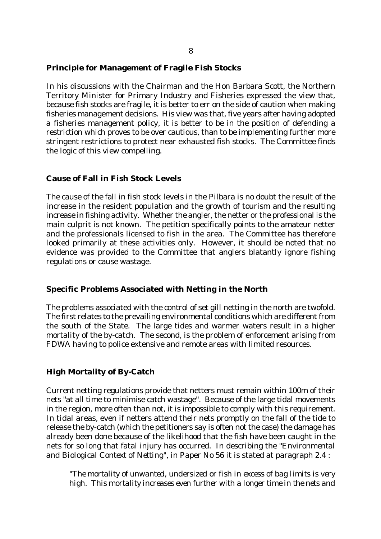#### **Principle for Management of Fragile Fish Stocks**

In his discussions with the Chairman and the Hon Barbara Scott, the Northern Territory Minister for Primary Industry and Fisheries expressed the view that, because fish stocks are fragile, it is better to err on the side of caution when making fisheries management decisions. His view was that, five years after having adopted a fisheries management policy, it is better to be in the position of defending a restriction which proves to be over cautious, than to be implementing further more stringent restrictions to protect near exhausted fish stocks. The Committee finds the logic of this view compelling.

#### **Cause of Fall in Fish Stock Levels**

The cause of the fall in fish stock levels in the Pilbara is no doubt the result of the increase in the resident population and the growth of tourism and the resulting increase in fishing activity. Whether the angler, the netter or the professional is the main culprit is not known. The petition specifically points to the amateur netter and the professionals licensed to fish in the area. The Committee has therefore looked primarily at these activities only. However, it should be noted that no evidence was provided to the Committee that anglers blatantly ignore fishing regulations or cause wastage.

#### **Specific Problems Associated with Netting in the North**

The problems associated with the control of set gill netting in the north are twofold. The first relates to the prevailing environmental conditions which are different from the south of the State. The large tides and warmer waters result in a higher mortality of the by-catch. The second, is the problem of enforcement arising from FDWA having to police extensive and remote areas with limited resources.

### **High Mortality of By-Catch**

Current netting regulations provide that netters must remain within 100m of their nets "at all time to minimise catch wastage". Because of the large tidal movements in the region, more often than not, it is impossible to comply with this requirement. In tidal areas, even if netters attend their nets promptly on the fall of the tide to release the by-catch (which the petitioners say is often not the case) the damage has already been done because of the likelihood that the fish have been caught in the nets for so long that fatal injury has occurred. In describing the "*Environmental and Biological Context of Netting*", in Paper No 56 it is stated at paragraph 2.4 :

*"The mortality of unwanted, undersized or fish in excess of bag limits is very high. This mortality increases even further with a longer time in the nets and*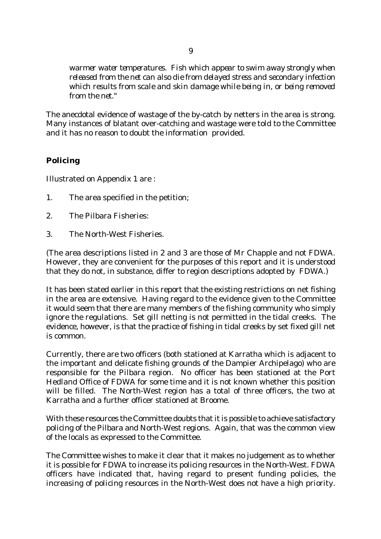*warmer water temperatures. Fish which appear to swim away strongly when released from the net can also die from delayed stress and secondary infection which results from scale and skin damage while being in, or being removed from the net."*

The anecdotal evidence of wastage of the by-catch by netters in the area is strong. Many instances of blatant over-catching and wastage were told to the Committee and it has no reason to doubt the information provided.

# **Policing**

Illustrated on Appendix 1 are :

- 1. The area specified in the petition;
- 2. The Pilbara Fisheries:
- 3. The North-West Fisheries.

(The area descriptions listed in 2 and 3 are those of Mr Chapple and not FDWA. However, they are convenient for the purposes of this report and it is understood that they do not, in substance, differ to region descriptions adopted by FDWA.)

It has been stated earlier in this report that the existing restrictions on net fishing in the area are extensive. Having regard to the evidence given to the Committee it would seem that there are many members of the fishing community who simply ignore the regulations. Set gill netting is not permitted in the tidal creeks. The evidence, however, is that the practice of fishing in tidal creeks by set fixed gill net is common.

Currently, there are two officers (both stationed at Karratha which is adjacent to the important and delicate fishing grounds of the Dampier Archipelago) who are responsible for the Pilbara region. No officer has been stationed at the Port Hedland Office of FDWA for some time and it is not known whether this position will be filled. The North-West region has a total of three officers, the two at Karratha and a further officer stationed at Broome.

With these resources the Committee doubts that it is possible to achieve satisfactory policing of the Pilbara and North-West regions. Again, that was the common view of the locals as expressed to the Committee.

The Committee wishes to make it clear that it makes no judgement as to whether it is possible for FDWA to increase its policing resources in the North-West. FDWA officers have indicated that, having regard to present funding policies, the increasing of policing resources in the North-West does not have a high priority.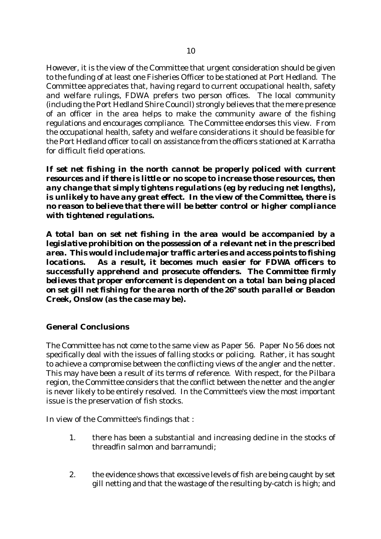However, it is the view of the Committee that urgent consideration should be given to the funding of at least one Fisheries Officer to be stationed at Port Hedland. The Committee appreciates that, having regard to current occupational health, safety and welfare rulings, FDWA prefers two person offices. The local community (including the Port Hedland Shire Council) strongly believes that the mere presence of an officer in the area helps to make the community aware of the fishing regulations and encourages compliance. The Committee endorses this view. From the occupational health, safety and welfare considerations it should be feasible for the Port Hedland officer to call on assistance from the officers stationed at Karratha for difficult field operations.

*If set net fishing in the north cannot be properly policed with current resources and if there is little or no scope to increase those resources, then any change that simply tightens regulations (eg by reducing net lengths), is unlikely to have any great effect. In the view of the Committee, there is no reason to believe that there will be better control or higher compliance with tightened regulations.*

*A total ban on set net fishing in the area would be accompanied by a legislative prohibition on the possession of a relevant net in the prescribed area. This would include major traffic arteries and access points to fishing locations. As a result, it becomes much easier for FDWA officers to successfully apprehend and prosecute offenders. The Committee firmly believes that proper enforcement is dependent on a total ban being placed on set gill net fishing for the area north of the 26 south parallel or Beadon <sup>o</sup> Creek, Onslow (as the case may be).*

# **General Conclusions**

The Committee has not come to the same view as Paper 56. Paper No 56 does not specifically deal with the issues of falling stocks or policing. Rather, it has sought to achieve a compromise between the conflicting views of the angler and the netter. This may have been a result of its terms of reference. With respect, for the Pilbara region, the Committee considers that the conflict between the netter and the angler is never likely to be entirely resolved. In the Committee's view the most important issue is the preservation of fish stocks.

In view of the Committee's findings that :

- 1. there has been a substantial and increasing decline in the stocks of threadfin salmon and barramundi;
- 2. the evidence shows that excessive levels of fish are being caught by set gill netting and that the wastage of the resulting by-catch is high; and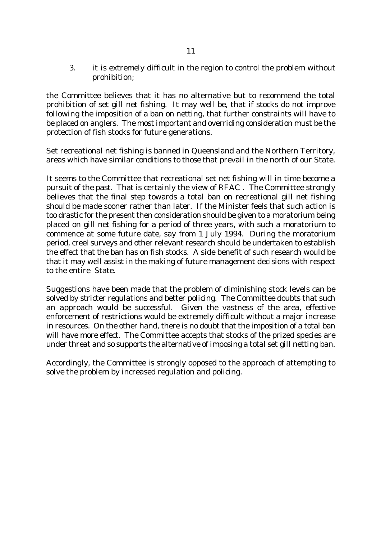3. it is extremely difficult in the region to control the problem without prohibition;

the Committee believes that it has no alternative but to recommend the total prohibition of set gill net fishing. It may well be, that if stocks do not improve following the imposition of a ban on netting, that further constraints will have to be placed on anglers. The most important and overriding consideration must be the protection of fish stocks for future generations.

Set recreational net fishing is banned in Queensland and the Northern Territory, areas which have similar conditions to those that prevail in the north of our State.

It seems to the Committee that recreational set net fishing will in time become a pursuit of the past. That is certainly the view of RFAC . The Committee strongly believes that the final step towards a total ban on recreational gill net fishing should be made sooner rather than later. If the Minister feels that such action is too drastic for the present then consideration should be given to a moratorium being placed on gill net fishing for a period of three years, with such a moratorium to commence at some future date, say from 1 July 1994. During the moratorium period, creel surveys and other relevant research should be undertaken to establish the effect that the ban has on fish stocks. A side benefit of such research would be that it may well assist in the making of future management decisions with respect to the entire State.

Suggestions have been made that the problem of diminishing stock levels can be solved by stricter regulations and better policing. The Committee doubts that such an approach would be successful. Given the vastness of the area, effective enforcement of restrictions would be extremely difficult without a major increase in resources. On the other hand, there is no doubt that the imposition of a total ban will have more effect. The Committee accepts that stocks of the prized species are under threat and so supports the alternative of imposing a total set gill netting ban.

Accordingly, the Committee is strongly opposed to the approach of attempting to solve the problem by increased regulation and policing.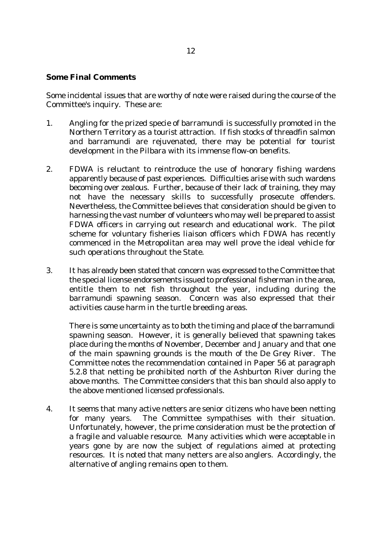#### **Some Final Comments**

Some incidental issues that are worthy of note were raised during the course of the Committee's inquiry. These are:

- 1. Angling for the prized specie of barramundi is successfully promoted in the Northern Territory as a tourist attraction. If fish stocks of threadfin salmon and barramundi are rejuvenated, there may be potential for tourist development in the Pilbara with its immense flow-on benefits.
- 2. FDWA is reluctant to reintroduce the use of honorary fishing wardens apparently because of past experiences. Difficulties arise with such wardens becoming over zealous. Further, because of their lack of training, they may not have the necessary skills to successfully prosecute offenders. Nevertheless, the Committee believes that consideration should be given to harnessing the vast number of volunteers who may well be prepared to assist FDWA officers in carrying out research and educational work. The pilot scheme for voluntary fisheries liaison officers which FDWA has recently commenced in the Metropolitan area may well prove the ideal vehicle for such operations throughout the State.
- 3. It has already been stated that concern was expressed to the Committee that the special license endorsements issued to professional fisherman in the area, entitle them to net fish throughout the year, including during the barramundi spawning season. Concern was also expressed that their activities cause harm in the turtle breeding areas.

There is some uncertainty as to both the timing and place of the barramundi spawning season. However, it is generally believed that spawning takes place during the months of November, December and January and that one of the main spawning grounds is the mouth of the De Grey River. The Committee notes the recommendation contained in Paper 56 at paragraph 5.2.8 that netting be prohibited north of the Ashburton River during the above months. The Committee considers that this ban should also apply to the above mentioned licensed professionals.

4. It seems that many active netters are senior citizens who have been netting for many years. The Committee sympathises with their situation. Unfortunately, however, the prime consideration must be the protection of a fragile and valuable resource. Many activities which were acceptable in years gone by are now the subject of regulations aimed at protecting resources. It is noted that many netters are also anglers. Accordingly, the alternative of angling remains open to them.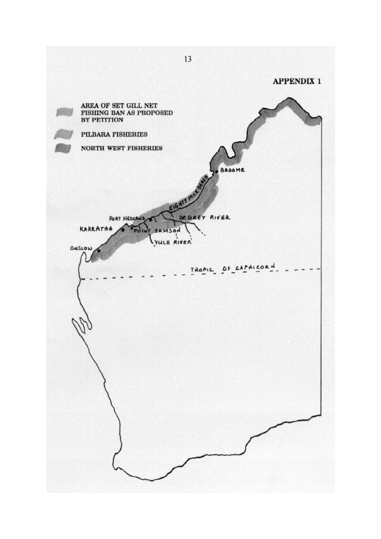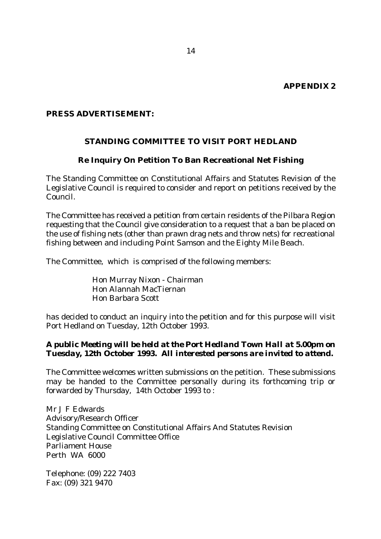### *PRESS ADVERTISEMENT:*

### **STANDING COMMITTEE TO VISIT PORT HEDLAND**

#### **Re Inquiry On Petition To Ban Recreational Net Fishing**

The Standing Committee on Constitutional Affairs and Statutes Revision of the Legislative Council is required to consider and report on petitions received by the Council.

The Committee has received a petition from certain residents of the Pilbara Region requesting that the Council give consideration to a request that a ban be placed on the use of fishing nets (other than prawn drag nets and throw nets) for recreational fishing between and including Point Samson and the Eighty Mile Beach.

The Committee, which is comprised of the following members:

Hon Murray Nixon - Chairman Hon Alannah MacTiernan Hon Barbara Scott

has decided to conduct an inquiry into the petition and for this purpose will visit Port Hedland on Tuesday, 12th October 1993.

### *A public Meeting will be held at the Port Hedland Town Hall at 5.00pm on Tuesday, 12th October 1993. All interested persons are invited to attend.*

The Committee welcomes written submissions on the petition. These submissions may be handed to the Committee personally during its forthcoming trip or forwarded by Thursday, 14th October 1993 to :

Mr J F Edwards Advisory/Research Officer Standing Committee on Constitutional Affairs And Statutes Revision Legislative Council Committee Office Parliament House Perth WA 6000

Telephone: (09) 222 7403 Fax: (09) 321 9470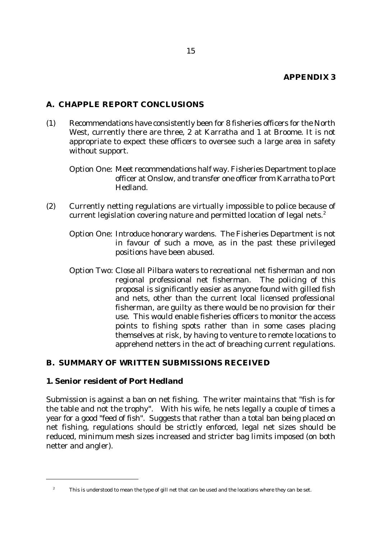# **A. CHAPPLE REPORT CONCLUSIONS**

- (1) Recommendations have consistently been for 8 fisheries officers for the North West, currently there are three, 2 at Karratha and 1 at Broome. It is not appropriate to expect these officers to oversee such a large area in safety without support.
	- Option One: Meet recommendations half way. Fisheries Department to place officer at Onslow, and transfer one officer from Karratha to Port Hedland.
- (2) Currently netting regulations are virtually impossible to police because of current legislation covering nature and permitted location of legal nets. $^2$ 
	- Option One: Introduce honorary wardens. The Fisheries Department is not in favour of such a move, as in the past these privileged positions have been abused.
	- Option Two: Close all Pilbara waters to recreational net fisherman and non regional professional net fisherman. The policing of this proposal is significantly easier as anyone found with gilled fish and nets, other than the current local licensed professional fisherman, are guilty as there would be no provision for their use. This would enable fisheries officers to monitor the access points to fishing spots rather than in some cases placing themselves at risk, by having to venture to remote locations to apprehend netters in the act of breaching current regulations.

### **B. SUMMARY OF WRITTEN SUBMISSIONS RECEIVED**

### **1. Senior resident of Port Hedland**

Submission is against a ban on net fishing. The writer maintains that "fish is for the table and not the trophy". With his wife, he nets legally a couple of times a year for a good "feed of fish". Suggests that rather than a total ban being placed on net fishing, regulations should be strictly enforced, legal net sizes should be reduced, minimum mesh sizes increased and stricter bag limits imposed (on both netter and angler).

<sup>&</sup>lt;sup>2</sup> This is understood to mean the type of gill net that can be used and the locations where they can be set.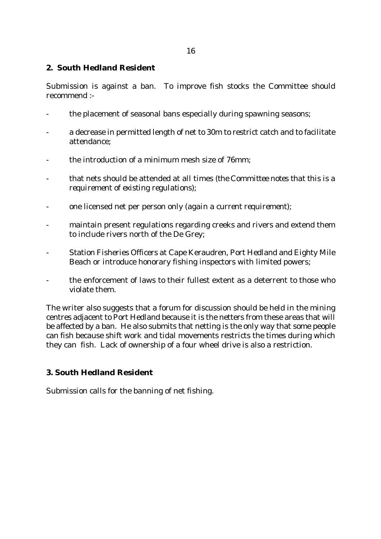### **2. South Hedland Resident**

Submission is against a ban. To improve fish stocks the Committee should recommend :-

- the placement of seasonal bans especially during spawning seasons;
- a decrease in permitted length of net to 30m to restrict catch and to facilitate attendance;
- the introduction of a minimum mesh size of 76mm;
- that nets should be attended at all times (*the Committee notes that this is a requirement of existing regulations*);
- one licensed net per person only (*again a current requirement*);
- maintain present regulations regarding creeks and rivers and extend them to include rivers north of the De Grey;
- Station Fisheries Officers at Cape Keraudren, Port Hedland and Eighty Mile Beach or introduce honorary fishing inspectors with limited powers;
- the enforcement of laws to their fullest extent as a deterrent to those who violate them.

The writer also suggests that a forum for discussion should be held in the mining centres adjacent to Port Hedland because it is the netters from these areas that will be affected by a ban. He also submits that netting is the only way that some people can fish because shift work and tidal movements restricts the times during which they can fish. Lack of ownership of a four wheel drive is also a restriction.

# **3. South Hedland Resident**

Submission calls for the banning of net fishing.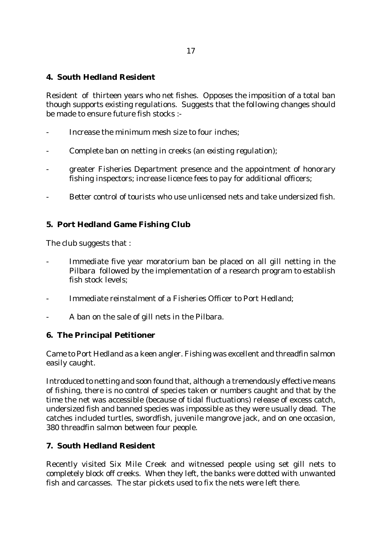# **4. South Hedland Resident**

Resident of thirteen years who net fishes. Opposes the imposition of a total ban though supports existing regulations. Suggests that the following changes should be made to ensure future fish stocks :-

- Increase the minimum mesh size to four inches:
- Complete ban on netting in creeks (*an existing regulation*);
- greater Fisheries Department presence and the appointment of honorary fishing inspectors; increase licence fees to pay for additional officers;
- Better control of tourists who use unlicensed nets and take undersized fish.

### **5. Port Hedland Game Fishing Club**

The club suggests that :

- Immediate five year moratorium ban be placed on all gill netting in the Pilbara followed by the implementation of a research program to establish fish stock levels;
- Immediate reinstalment of a Fisheries Officer to Port Hedland:
- A ban on the sale of gill nets in the Pilbara.

### **6. The Principal Petitioner**

Came to Port Hedland as a keen angler. Fishing was excellent and threadfin salmon easily caught.

Introduced to netting and soon found that, although a tremendously effective means of fishing, there is no control of species taken or numbers caught and that by the time the net was accessible (because of tidal fluctuations) release of excess catch, undersized fish and banned species was impossible as they were usually dead. The catches included turtles, swordfish, juvenile mangrove jack, and on one occasion, 380 threadfin salmon between four people.

# **7. South Hedland Resident**

Recently visited Six Mile Creek and witnessed people using set gill nets to completely block off creeks. When they left, the banks were dotted with unwanted fish and carcasses. The star pickets used to fix the nets were left there.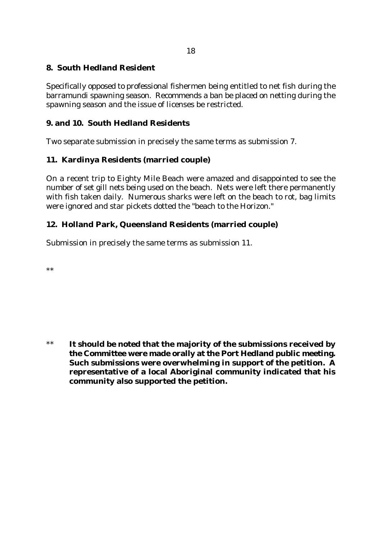### **8. South Hedland Resident**

Specifically opposed to professional fishermen being entitled to net fish during the barramundi spawning season. Recommends a ban be placed on netting during the spawning season and the issue of licenses be restricted.

### **9. and 10. South Hedland Residents**

Two separate submission in precisely the same terms as submission 7.

### **11. Kardinya Residents (married couple)**

On a recent trip to Eighty Mile Beach were amazed and disappointed to see the number of set gill nets being used on the beach. Nets were left there permanently with fish taken daily. Numerous sharks were left on the beach to rot, bag limits were ignored and star pickets dotted the "beach to the Horizon."

### **12. Holland Park, Queensland Residents (married couple)**

Submission in precisely the same terms as submission 11.

\*\*

\*\* **It should be noted that the majority of the submissions received by the Committee were made orally at the Port Hedland public meeting. Such submissions were overwhelming in support of the petition. A representative of a local Aboriginal community indicated that his community also supported the petition.**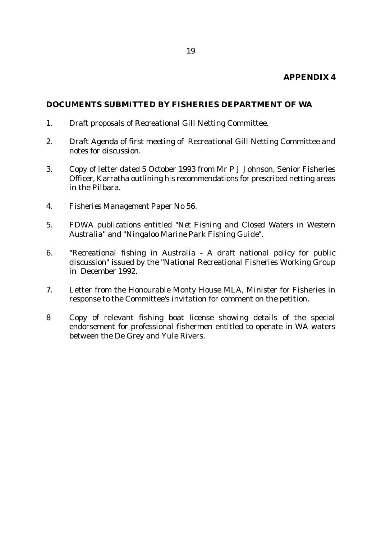### **APPENDIX 4**

#### **DOCUMENTS SUBMITTED BY FISHERIES DEPARTMENT OF WA**

- 1. Draft proposals of Recreational Gill Netting Committee.
- 2. Draft Agenda of first meeting of Recreational Gill Netting Committee and notes for discussion.
- 3. Copy of letter dated 5 October 1993 from Mr P J Johnson, Senior Fisheries Officer, Karratha outlining his recommendations for prescribed netting areas in the Pilbara.
- 4. *Fisheries Management Paper No 56*.
- 5. FDWA publications entitled "*Net Fishing and Closed Waters in Western Australia*" and "*Ningaloo Marine Park Fishing Guide*".
- 6. "*Recreational fishing in Australia A draft national policy for public discussion*" issued by the "National Recreational Fisheries Working Group in December 1992.
- 7. Letter from the Honourable Monty House MLA, Minister for Fisheries in response to the Committee's invitation for comment on the petition.
- 8 Copy of relevant fishing boat license showing details of the special endorsement for professional fishermen entitled to operate in WA waters between the De Grey and Yule Rivers.